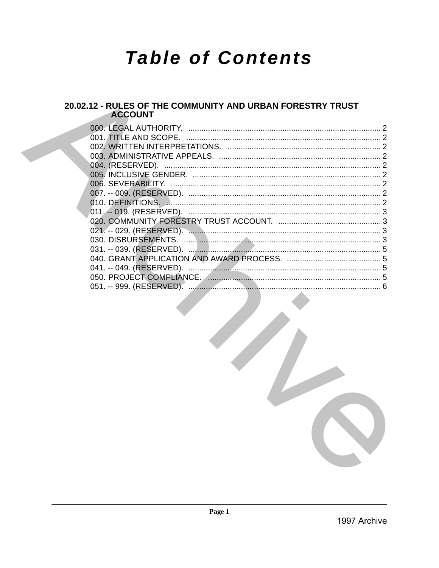# **Table of Contents**

# 20.02.12 - RULES OF THE COMMUNITY AND URBAN FORESTRY TRUST<br>ACCOUNT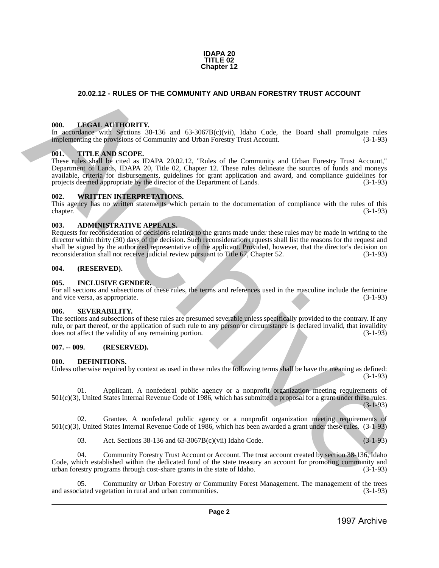#### **IDAPA 20 TITLE 02 Chapter 12**

# <span id="page-1-0"></span>**20.02.12 - RULES OF THE COMMUNITY AND URBAN FORESTRY TRUST ACCOUNT**

# <span id="page-1-1"></span>**000. LEGAL AUTHORITY.**

In accordance with Sections 38-136 and 63-3067B(c)(vii), Idaho Code, the Board shall promulgate rules implementing the provisions of Community and Urban Forestry Trust Account. (3-1-93)

#### <span id="page-1-2"></span>**001. TITLE AND SCOPE.**

These rules shall be cited as IDAPA 20.02.12, "Rules of the Community and Urban Forestry Trust Account," Department of Lands, IDAPA 20, Title 02, Chapter 12. These rules delineate the sources of funds and moneys available, criteria for disbursements, guidelines for grant application and award, and compliance guidelines for projects deemed appropriate by the director of the Department of Lands. (3-1-93) 20.02.12 - RULES OF THE COMMUNITY AND URBAN FORESTRY TRUST ACCOUNT<br>
1998. LHKEN A V. TUORUTY, 1998. and 63-367180(visit, Julian Code, the Bened and powering reduced<br>
in Secondary contribution of Community and Librarity Co

#### <span id="page-1-3"></span>**002. WRITTEN INTERPRETATIONS.**

This agency has no written statements which pertain to the documentation of compliance with the rules of this chapter. (3-1-93)

#### <span id="page-1-4"></span>**003. ADMINISTRATIVE APPEALS.**

Requests for reconsideration of decisions relating to the grants made under these rules may be made in writing to the director within thirty (30) days of the decision. Such reconsideration requests shall list the reasons for the request and shall be signed by the authorized representative of the applicant. Provided, however, that the director's decision on reconsideration shall not receive judicial review pursuant to Title 67. Chapter 52. (3-1-93) reconsideration shall not receive judicial review pursuant to Title 67, Chapter 52.

#### <span id="page-1-5"></span>**004. (RESERVED).**

#### <span id="page-1-6"></span>**005. INCLUSIVE GENDER.**

For all sections and subsections of these rules, the terms and references used in the masculine include the feminine and vice versa, as appropriate. (3-1-93)

#### <span id="page-1-7"></span>**006. SEVERABILITY.**

The sections and subsections of these rules are presumed severable unless specifically provided to the contrary. If any rule, or part thereof, or the application of such rule to any person or circumstance is declared invalid, that invalidity does not affect the validity of any remaining portion. (3-1-93)

# <span id="page-1-8"></span>**007. -- 009. (RESERVED).**

#### <span id="page-1-9"></span>**010. DEFINITIONS.**

Unless otherwise required by context as used in these rules the following terms shall be have the meaning as defined: (3-1-93)

Applicant. A nonfederal public agency or a nonprofit organization meeting requirements of 501(c)(3), United States Internal Revenue Code of 1986, which has submitted a proposal for a grant under these rules. (3-1-93)

02. Grantee. A nonfederal public agency or a nonprofit organization meeting requirements of 501(c)(3), United States Internal Revenue Code of 1986, which has been awarded a grant under these rules. (3-1-93)

03. Act. Sections 38-136 and 63-3067B(c)(vii) Idaho Code. (3-1-93)

04. Community Forestry Trust Account or Account. The trust account created by section 38-136, Idaho Code, which established within the dedicated fund of the state treasury an account for promoting community and urban forestry programs through cost-share grants in the state of Idaho. (3-1-93) urban forestry programs through cost-share grants in the state of Idaho.

05. Community or Urban Forestry or Community Forest Management. The management of the trees and associated vegetation in rural and urban communities. (3-1-93)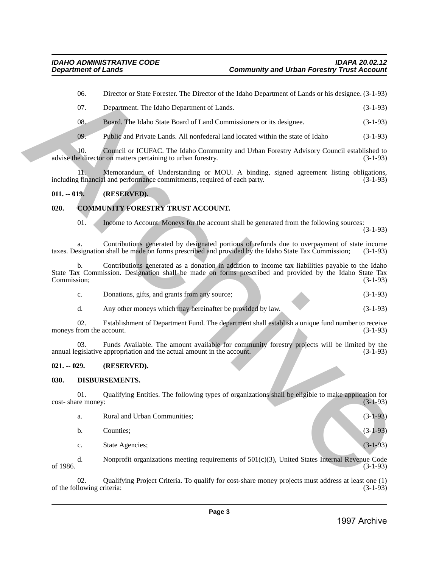| - 07. | Department. The Idaho Department of Lands.                          | $(3-1-93)$ |
|-------|---------------------------------------------------------------------|------------|
| - 08. | Board. The Idaho State Board of Land Commissioners or its designee. | $(3-1-93)$ |

## <span id="page-2-0"></span>**011. -- 019. (RESERVED).**

# <span id="page-2-1"></span>**020. COMMUNITY FORESTRY TRUST ACCOUNT.**

| Donations, gifts, and grants from any source; |  | $(3-1-93)$ |
|-----------------------------------------------|--|------------|
|                                               |  |            |

# <span id="page-2-2"></span>**021. -- 029. (RESERVED).**

# <span id="page-2-3"></span>**030. DISBURSEMENTS.**

|               | 06.                               | Director or State Forester. The Director of the Idaho Department of Lands or his designee. (3-1-93)                                                                                                         |              |
|---------------|-----------------------------------|-------------------------------------------------------------------------------------------------------------------------------------------------------------------------------------------------------------|--------------|
|               | 07.                               | Department. The Idaho Department of Lands.                                                                                                                                                                  | $(3-1-93)$   |
|               | 08.                               | Board. The Idaho State Board of Land Commissioners or its designee.                                                                                                                                         | $(3-1-93)$   |
|               | 09.                               | Public and Private Lands. All nonfederal land located within the state of Idaho                                                                                                                             | $(3-1-93)$   |
|               | 10.                               | Council or ICUFAC. The Idaho Community and Urban Forestry Advisory Council established to<br>advise the director on matters pertaining to urban forestry.                                                   | $(3-1-93)$   |
|               | 11.                               | Memorandum of Understanding or MOU. A binding, signed agreement listing obligations,<br>including financial and performance commitments, required of each party.                                            | $(3-1-93)$   |
| $011. - 019.$ |                                   | (RESERVED).                                                                                                                                                                                                 |              |
| 020.          |                                   | <b>COMMUNITY FORESTRY TRUST ACCOUNT.</b>                                                                                                                                                                    |              |
|               | 01.                               | Income to Account. Moneys for the account shall be generated from the following sources:                                                                                                                    | $(3-1-93)$   |
|               | a.                                | Contributions generated by designated portions of refunds due to overpayment of state income<br>taxes. Designation shall be made on forms prescribed and provided by the Idaho State Tax Commission;        | $(3-1-93)$   |
| Commission;   | $\mathbf{b}$ .                    | Contributions generated as a donation in addition to income tax liabilities payable to the Idaho<br>State Tax Commission. Designation shall be made on forms prescribed and provided by the Idaho State Tax | $(3-1-93)$   |
|               | c.                                | Donations, gifts, and grants from any source;                                                                                                                                                               | $(3-1-93)$   |
|               | d.                                | Any other moneys which may hereinafter be provided by law.                                                                                                                                                  | $(3-1-93)$   |
|               | 02.                               | Establishment of Department Fund. The department shall establish a unique fund number to receive<br>moneys from the account.                                                                                | $(3-1-93)$   |
|               | 03.                               | Funds Available. The amount available for community forestry projects will be limited by the<br>annual legislative appropriation and the actual amount in the account.                                      | $(3-1-93)$   |
| $021. - 029.$ |                                   | (RESERVED).                                                                                                                                                                                                 |              |
| 030.          |                                   | DISBURSEMENTS.                                                                                                                                                                                              |              |
|               | 01.<br>cost-share money:          | Qualifying Entities. The following types of organizations shall be eligible to make application for                                                                                                         | $(3-1-93)$   |
|               | a.                                | Rural and Urban Communities;                                                                                                                                                                                | $(3-1-93)$   |
|               | b.                                | Counties;                                                                                                                                                                                                   | $(3-1-93)$   |
|               | c.                                | State Agencies;                                                                                                                                                                                             | $(3-1-93)$   |
| of 1986.      | d.                                | Nonprofit organizations meeting requirements of $501(c)(3)$ , United States Internal Revenue Code                                                                                                           | $(3-1-93)$   |
|               | 02.<br>of the following criteria: | Qualifying Project Criteria. To qualify for cost-share money projects must address at least one (1)                                                                                                         | $(3-1-93)$   |
|               |                                   |                                                                                                                                                                                                             |              |
|               |                                   | Page 3                                                                                                                                                                                                      | 1997 Archive |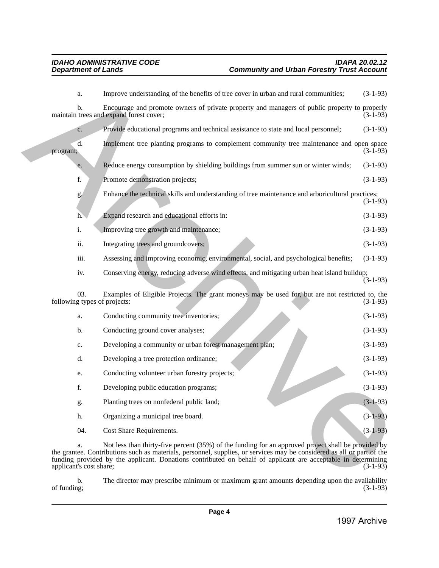| b.<br>of funding;             | The director may prescribe minimum or maximum grant amounts depending upon the availability                                                                                                                                                                                                                                                    | $(3-1-93)$ |
|-------------------------------|------------------------------------------------------------------------------------------------------------------------------------------------------------------------------------------------------------------------------------------------------------------------------------------------------------------------------------------------|------------|
| a.<br>applicant's cost share; | Not less than thirty-five percent (35%) of the funding for an approved project shall be provided by<br>the grantee. Contributions such as materials, personnel, supplies, or services may be considered as all or part of the<br>funding provided by the applicant. Donations contributed on behalf of applicant are acceptable in determining | $(3-1-93)$ |
| 04.                           | Cost Share Requirements.                                                                                                                                                                                                                                                                                                                       | $(3-1-93)$ |
| h.                            | Organizing a municipal tree board.                                                                                                                                                                                                                                                                                                             | $(3-1-93)$ |
| g.                            | Planting trees on nonfederal public land;                                                                                                                                                                                                                                                                                                      | $(3-1-93)$ |
| f.                            | Developing public education programs;                                                                                                                                                                                                                                                                                                          | $(3-1-93)$ |
| e.                            | Conducting volunteer urban forestry projects;                                                                                                                                                                                                                                                                                                  | $(3-1-93)$ |
| d.                            | Developing a tree protection ordinance;                                                                                                                                                                                                                                                                                                        | $(3-1-93)$ |
| c.                            | Developing a community or urban forest management plan;                                                                                                                                                                                                                                                                                        | $(3-1-93)$ |
| b.                            | Conducting ground cover analyses;                                                                                                                                                                                                                                                                                                              | $(3-1-93)$ |
| a.                            | Conducting community tree inventories;                                                                                                                                                                                                                                                                                                         | $(3-1-93)$ |
| 03.                           | Examples of Eligible Projects. The grant moneys may be used for, but are not restricted to, the<br>following types of projects:                                                                                                                                                                                                                | $(3-1-93)$ |
| iv.                           | Conserving energy, reducing adverse wind effects, and mitigating urban heat island buildup;                                                                                                                                                                                                                                                    | $(3-1-93)$ |
| iii.                          | Assessing and improving economic, environmental, social, and psychological benefits;                                                                                                                                                                                                                                                           | $(3-1-93)$ |
| ii.                           | Integrating trees and groundcovers;                                                                                                                                                                                                                                                                                                            | $(3-1-93)$ |
| i.                            | Improving tree growth and maintenance;                                                                                                                                                                                                                                                                                                         | $(3-1-93)$ |
| h.                            | Expand research and educational efforts in:                                                                                                                                                                                                                                                                                                    | $(3-1-93)$ |
| g.                            | Enhance the technical skills and understanding of tree maintenance and arboricultural practices;                                                                                                                                                                                                                                               | $(3-1-93)$ |
| f.                            | Promote demonstration projects;                                                                                                                                                                                                                                                                                                                | $(3-1-93)$ |
| e.                            | Reduce energy consumption by shielding buildings from summer sun or winter winds;                                                                                                                                                                                                                                                              | $(3-1-93)$ |
| d.<br>program;                | Implement tree planting programs to complement community tree maintenance and open space                                                                                                                                                                                                                                                       | $(3-1-93)$ |
| c.                            | Provide educational programs and technical assistance to state and local personnel;                                                                                                                                                                                                                                                            | $(3-1-93)$ |
|                               | maintain trees and expand forest cover;                                                                                                                                                                                                                                                                                                        | $(3-1-93)$ |
| b.                            | Encourage and promote owners of private property and managers of public property to properly                                                                                                                                                                                                                                                   |            |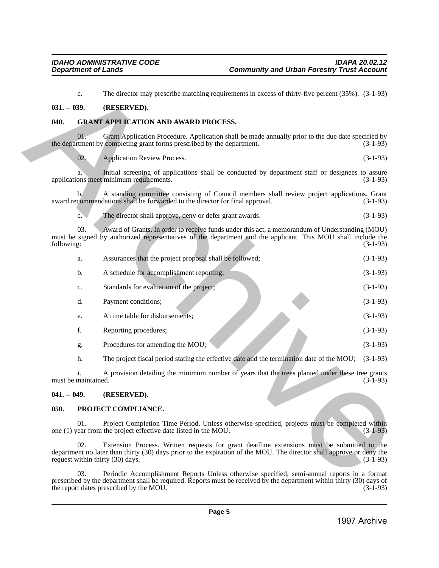## <span id="page-4-0"></span>**031. -- 039. (RESERVED).**

# <span id="page-4-1"></span>**040. GRANT APPLICATION AND AWARD PROCESS.**

|               |                                     | The director may prescribe matching requirements in excess of thirty-five percent (35%). (3-1-93)                                                                                                                                                      |            |
|---------------|-------------------------------------|--------------------------------------------------------------------------------------------------------------------------------------------------------------------------------------------------------------------------------------------------------|------------|
| $031. - 039.$ |                                     | (RESERVED).                                                                                                                                                                                                                                            |            |
| 040.          |                                     | <b>GRANT APPLICATION AND AWARD PROCESS.</b>                                                                                                                                                                                                            |            |
|               | 01.                                 | Grant Application Procedure. Application shall be made annually prior to the due date specified by<br>the department by completing grant forms prescribed by the department.                                                                           | $(3-1-93)$ |
|               | 02.                                 | <b>Application Review Process.</b>                                                                                                                                                                                                                     | $(3-1-93)$ |
|               | a.                                  | Initial screening of applications shall be conducted by department staff or designees to assure<br>applications meet minimum requirements.                                                                                                             | $(3-1-93)$ |
|               | b.                                  | A standing committee consisting of Council members shall review project applications. Grant<br>award recommendations shall be forwarded to the director for final approval.                                                                            | $(3-1-93)$ |
|               | c.                                  | The director shall approve, deny or defer grant awards.                                                                                                                                                                                                | $(3-1-93)$ |
| following:    | 03.                                 | Award of Grants. In order to receive funds under this act, a memorandum of Understanding (MOU)<br>must be signed by authorized representatives of the department and the applicant. This MOU shall include the                                         | $(3-1-93)$ |
|               | a.                                  | Assurances that the project proposal shall be followed;                                                                                                                                                                                                | $(3-1-93)$ |
|               | b.                                  | A schedule for accomplishment reporting;                                                                                                                                                                                                               | $(3-1-93)$ |
|               | c.                                  | Standards for evaluation of the project;                                                                                                                                                                                                               | $(3-1-93)$ |
|               | d.                                  | Payment conditions;                                                                                                                                                                                                                                    | $(3-1-93)$ |
|               | e.                                  | A time table for disbursements;                                                                                                                                                                                                                        | $(3-1-93)$ |
|               | f.                                  | Reporting procedures;                                                                                                                                                                                                                                  | $(3-1-93)$ |
|               | g.                                  | Procedures for amending the MOU;                                                                                                                                                                                                                       | $(3-1-93)$ |
|               | h.                                  | The project fiscal period stating the effective date and the termination date of the MOU;                                                                                                                                                              | $(3-1-93)$ |
|               | $\mathbf{1}$<br>must be maintained. | A provision detailing the minimum number of years that the trees planted under these tree grants                                                                                                                                                       | $(3-1-93)$ |
| $041. - 049.$ |                                     | (RESERVED).                                                                                                                                                                                                                                            |            |
| 050.          |                                     | PROJECT COMPLIANCE.                                                                                                                                                                                                                                    |            |
|               | 01.                                 | Project Completion Time Period. Unless otherwise specified, projects must be completed within<br>one (1) year from the project effective date listed in the MOU.                                                                                       | $(3-1-93)$ |
|               | 02.                                 | Extension Process. Written requests for grant deadline extensions must be submitted to the<br>department no later than thirty (30) days prior to the expiration of the MOU. The director shall approve or deny the<br>request within thirty (30) days. | $(3-1-93)$ |
|               | 03.                                 | Periodic Accomplishment Reports Unless otherwise specified, semi-annual reports in a format                                                                                                                                                            |            |
|               |                                     | prescribed by the department shall be required. Reports must be received by the department within thirty (30) days of<br>the report dates prescribed by the MOU.                                                                                       | $(3-1-93)$ |

## <span id="page-4-2"></span>**041. -- 049. (RESERVED).**

#### <span id="page-4-3"></span>**050. PROJECT COMPLIANCE.**